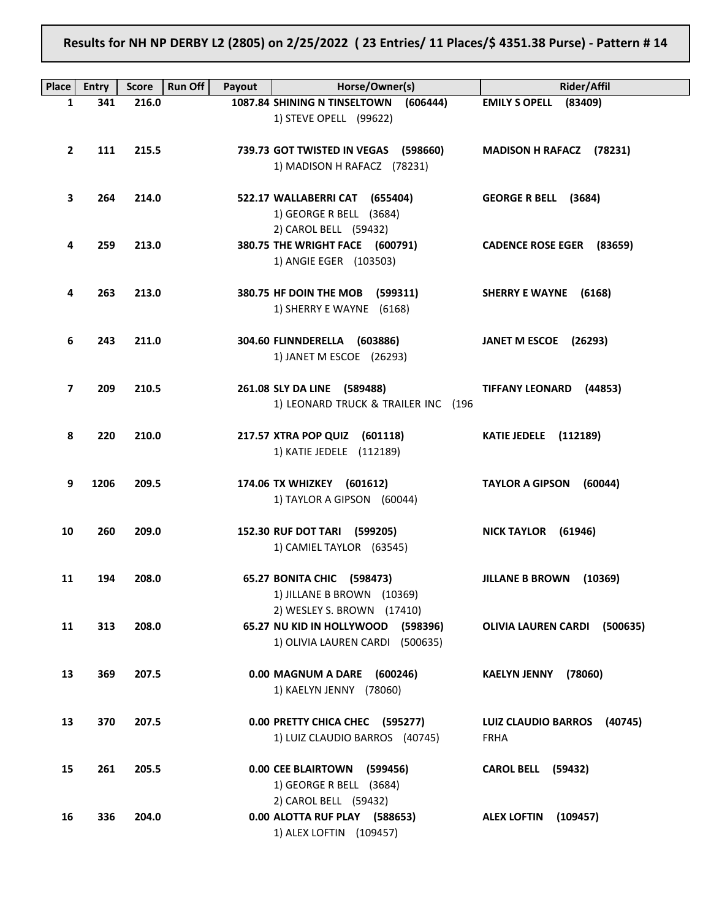Results for NH NP DERBY L2 (2805) on 2/25/2022 ( 23 Entries/ 11 Places/\$ 4351.38 Purse) - Pattern # 14

| <b>Place</b> | <b>Entry</b> | <b>Score</b> | <b>Run Off</b><br>Payout | Horse/Owner(s)                                                        | Rider/Affil                           |
|--------------|--------------|--------------|--------------------------|-----------------------------------------------------------------------|---------------------------------------|
| 1            | 341          | 216.0        |                          | 1087.84 SHINING N TINSELTOWN<br>(606444)                              | EMILY S OPELL (83409)                 |
|              |              |              |                          | 1) STEVE OPELL (99622)                                                |                                       |
|              |              |              |                          |                                                                       |                                       |
| $\mathbf{2}$ | 111          | 215.5        |                          | 739.73 GOT TWISTED IN VEGAS (598660)                                  | MADISON H RAFACZ (78231)              |
|              |              |              |                          | 1) MADISON H RAFACZ (78231)                                           |                                       |
| 3            | 264          | 214.0        |                          | 522.17 WALLABERRI CAT (655404)                                        | GEORGE R BELL (3684)                  |
|              |              |              |                          | 1) GEORGE R BELL (3684)                                               |                                       |
|              |              |              |                          | 2) CAROL BELL (59432)                                                 |                                       |
| 4            | 259          | 213.0        |                          | 380.75 THE WRIGHT FACE (600791)                                       | CADENCE ROSE EGER (83659)             |
|              |              |              |                          | 1) ANGIE EGER (103503)                                                |                                       |
|              |              |              |                          |                                                                       |                                       |
| 4            | 263          | 213.0        |                          | 380.75 HF DOIN THE MOB (599311)<br>1) SHERRY E WAYNE (6168)           | SHERRY E WAYNE (6168)                 |
|              |              |              |                          |                                                                       |                                       |
| 6            | 243          | 211.0        |                          | 304.60 FLINNDERELLA (603886)                                          | JANET M ESCOE (26293)                 |
|              |              |              |                          | 1) JANET M ESCOE (26293)                                              |                                       |
|              |              |              |                          |                                                                       |                                       |
| 7            | 209          | 210.5        |                          | 261.08 SLY DA LINE (589488)                                           | TIFFANY LEONARD (44853)               |
|              |              |              |                          | 1) LEONARD TRUCK & TRAILER INC (196                                   |                                       |
| 8            | 220          | 210.0        |                          | 217.57 XTRA POP QUIZ (601118)                                         | <b>KATIE JEDELE</b> (112189)          |
|              |              |              |                          | 1) KATIE JEDELE (112189)                                              |                                       |
|              |              |              |                          |                                                                       |                                       |
| 9            | 1206         | 209.5        |                          | 174.06 TX WHIZKEY (601612)                                            | TAYLOR A GIPSON (60044)               |
|              |              |              |                          | 1) TAYLOR A GIPSON (60044)                                            |                                       |
| 10           | 260          | 209.0        |                          | 152.30 RUF DOT TARI (599205)                                          | NICK TAYLOR (61946)                   |
|              |              |              |                          | 1) CAMIEL TAYLOR (63545)                                              |                                       |
|              |              |              |                          |                                                                       |                                       |
| 11           | 194          | 208.0        |                          | 65.27 BONITA CHIC (598473)                                            | JILLANE B BROWN (10369)               |
|              |              |              |                          | 1) JILLANE B BROWN (10369)                                            |                                       |
| 11           | 313          |              |                          | 2) WESLEY S. BROWN (17410)                                            |                                       |
|              |              | 208.0        |                          | 65.27 NU KID IN HOLLYWOOD (598396)<br>1) OLIVIA LAUREN CARDI (500635) | OLIVIA LAUREN CARDI (500635)          |
|              |              |              |                          |                                                                       |                                       |
| 13           | 369          | 207.5        |                          | 0.00 MAGNUM A DARE (600246)                                           | <b>KAELYN JENNY</b><br>(78060)        |
|              |              |              |                          | 1) KAELYN JENNY (78060)                                               |                                       |
|              |              |              |                          |                                                                       |                                       |
| 13           | 370          | 207.5        |                          | 0.00 PRETTY CHICA CHEC (595277)                                       | <b>LUIZ CLAUDIO BARROS</b><br>(40745) |
|              |              |              |                          | 1) LUIZ CLAUDIO BARROS (40745)                                        | <b>FRHA</b>                           |
| 15           | 261          | 205.5        |                          | 0.00 CEE BLAIRTOWN (599456)                                           | <b>CAROL BELL (59432)</b>             |
|              |              |              |                          | 1) GEORGE R BELL (3684)                                               |                                       |
|              |              |              |                          | 2) CAROL BELL (59432)                                                 |                                       |
| 16           | 336          | 204.0        |                          | 0.00 ALOTTA RUF PLAY (588653)                                         | <b>ALEX LOFTIN</b><br>(109457)        |
|              |              |              |                          | 1) ALEX LOFTIN (109457)                                               |                                       |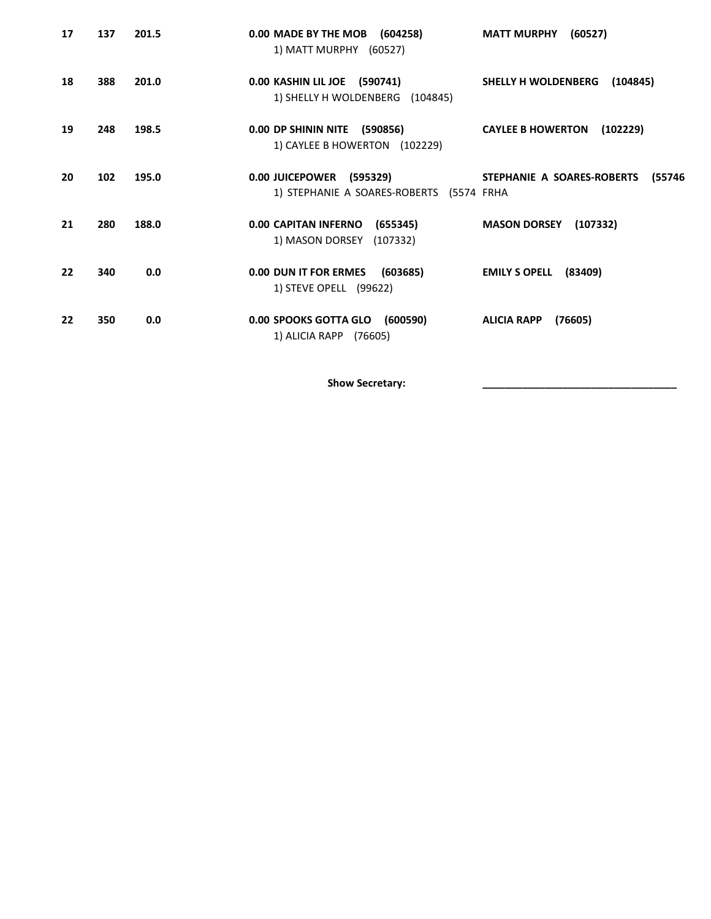| 17 | 137 | 201.5 | 0.00 MADE BY THE MOB (604258)<br>1) MATT MURPHY (60527)              | (60527)<br><b>MATT MURPHY</b>        |
|----|-----|-------|----------------------------------------------------------------------|--------------------------------------|
| 18 | 388 | 201.0 | 0.00 KASHIN LIL JOE (590741)<br>1) SHELLY H WOLDENBERG (104845)      | SHELLY H WOLDENBERG<br>(104845)      |
| 19 | 248 | 198.5 | 0.00 DP SHININ NITE (590856)<br>1) CAYLEE B HOWERTON (102229)        | <b>CAYLEE B HOWERTON</b><br>(102229) |
| 20 | 102 | 195.0 | 0.00 JUICEPOWER (595329)<br>1) STEPHANIE A SOARES-ROBERTS (5574 FRHA | STEPHANIE A SOARES-ROBERTS<br>(55746 |
| 21 | 280 | 188.0 | 0.00 CAPITAN INFERNO (655345)<br>1) MASON DORSEY (107332)            | <b>MASON DORSEY</b><br>(107332)      |
| 22 | 340 | 0.0   | 0.00 DUN IT FOR ERMES (603685)<br>1) STEVE OPELL (99622)             | <b>EMILY S OPELL</b><br>(83409)      |
| 22 | 350 | 0.0   | 0.00 SPOOKS GOTTA GLO (600590)<br>1) ALICIA RAPP (76605)             | <b>ALICIA RAPP</b><br>(76605)        |

Show Secretary: